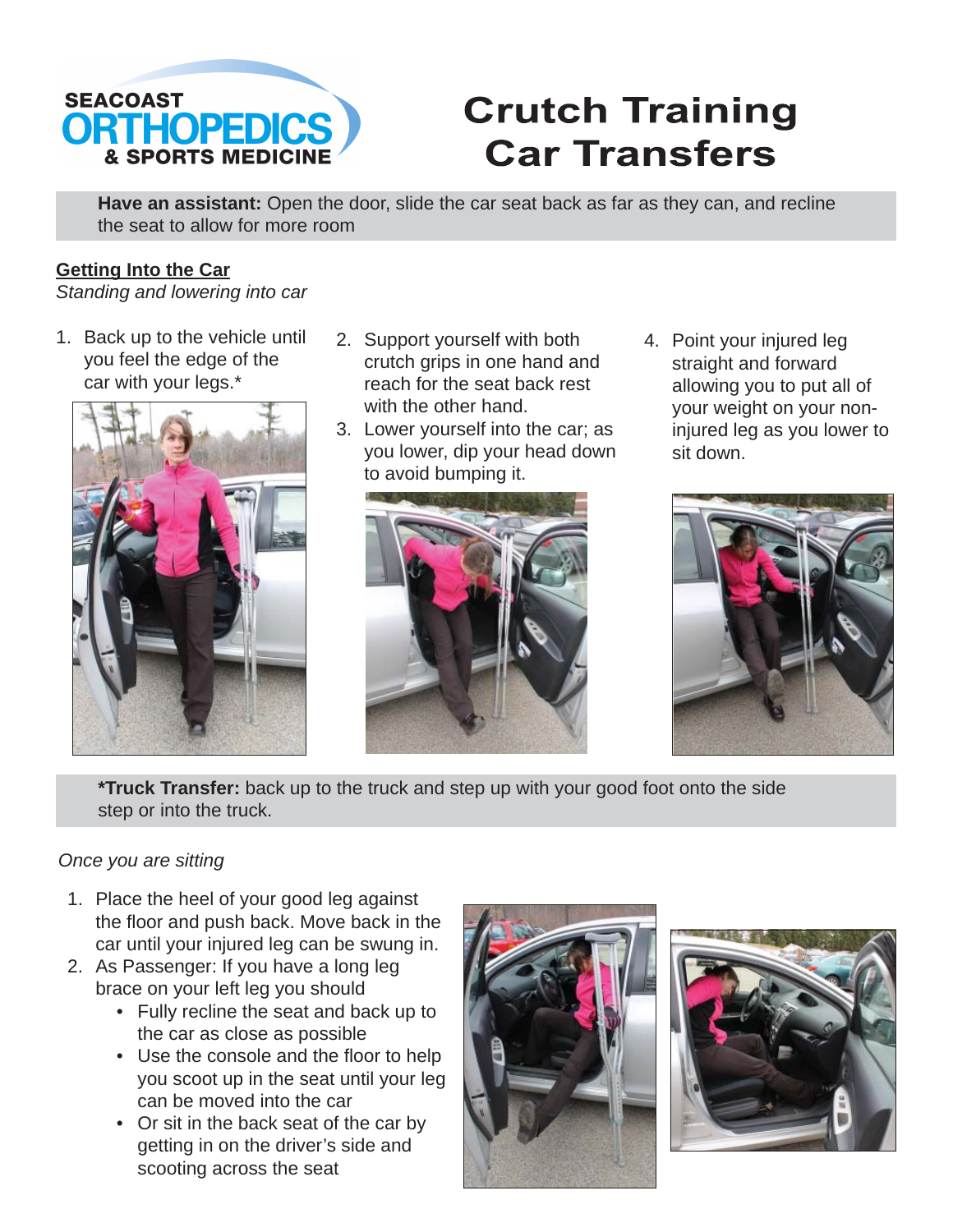

## **Crutch Training Car Transfers**

**Have an assistant:** Open the door, slide the car seat back as far as they can, and recline the seat to allow for more room

## **Getting Into the Car**

*Standing and lowering into car*

1. Back up to the vehicle until you feel the edge of the car with your legs.\*



- 1. Back up to the vehicle until 2. Support yourself with both 4. Point your injured leg crutch grips in one hand and reach for the seat back rest with the other hand.
	- 3. Lower yourself into the car; as you lower, dip your head down to avoid bumping it.



straight and forward allowing you to put all of your weight on your noninjured leg as you lower to sit down. 4. Point your injured leg



**\*Truck Transfer:** back up to the truck and step up with your good foot onto the side step or into the truck.

## *Once you are sitting*

- 1. Place the heel of your good leg against the floor and push back. Move back in the car until your injured leg can be swung in.
- 2. As Passenger: If you have a long leg brace on your left leg you should
	- Fully recline the seat and back up to the car as close as possible
	- Use the console and the floor to help you scoot up in the seat until your leg can be moved into the car
	- Or sit in the back seat of the car by getting in on the driver's side and scooting across the seat